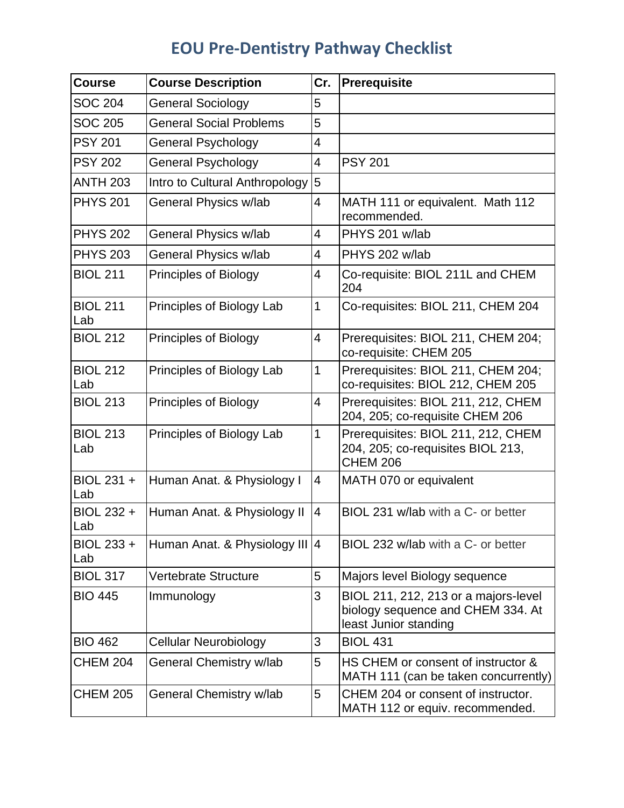## **EOU Pre-Dentistry Pathway Checklist**

| <b>Course</b>          | <b>Course Description</b>      | Cr.            | Prerequisite                                                                                       |
|------------------------|--------------------------------|----------------|----------------------------------------------------------------------------------------------------|
| <b>SOC 204</b>         | <b>General Sociology</b>       | 5              |                                                                                                    |
| <b>SOC 205</b>         | <b>General Social Problems</b> | 5              |                                                                                                    |
| <b>PSY 201</b>         | <b>General Psychology</b>      | 4              |                                                                                                    |
| <b>PSY 202</b>         | <b>General Psychology</b>      | 4              | <b>PSY 201</b>                                                                                     |
| <b>ANTH 203</b>        | Intro to Cultural Anthropology | $\overline{5}$ |                                                                                                    |
| <b>PHYS 201</b>        | <b>General Physics w/lab</b>   | $\overline{4}$ | MATH 111 or equivalent. Math 112<br>recommended.                                                   |
| <b>PHYS 202</b>        | General Physics w/lab          | 4              | PHYS 201 w/lab                                                                                     |
| <b>PHYS 203</b>        | General Physics w/lab          | 4              | PHYS 202 w/lab                                                                                     |
| <b>BIOL 211</b>        | Principles of Biology          | 4              | Co-requisite: BIOL 211L and CHEM<br>204                                                            |
| <b>BIOL 211</b><br>Lab | Principles of Biology Lab      | $\mathbf{1}$   | Co-requisites: BIOL 211, CHEM 204                                                                  |
| <b>BIOL 212</b>        | Principles of Biology          | 4              | Prerequisites: BIOL 211, CHEM 204;<br>co-requisite: CHEM 205                                       |
| <b>BIOL 212</b><br>Lab | Principles of Biology Lab      | 1              | Prerequisites: BIOL 211, CHEM 204;<br>co-requisites: BIOL 212, CHEM 205                            |
| <b>BIOL 213</b>        | Principles of Biology          | 4              | Prerequisites: BIOL 211, 212, CHEM<br>204, 205; co-requisite CHEM 206                              |
| <b>BIOL 213</b><br>Lab | Principles of Biology Lab      | 1              | Prerequisites: BIOL 211, 212, CHEM<br>204, 205; co-requisites BIOL 213,<br><b>CHEM 206</b>         |
| BIOL 231 +<br>Lab      | Human Anat. & Physiology I     | 4              | MATH 070 or equivalent                                                                             |
| BIOL 232 +<br>Lab      | Human Anat. & Physiology II    | 4              | BIOL 231 w/lab with a C- or better                                                                 |
| BIOL 233 +<br>Lab      | Human Anat. & Physiology III 4 |                | BIOL 232 w/lab with a C- or better                                                                 |
| <b>BIOL 317</b>        | <b>Vertebrate Structure</b>    | 5              | Majors level Biology sequence                                                                      |
| <b>BIO 445</b>         | Immunology                     | 3              | BIOL 211, 212, 213 or a majors-level<br>biology sequence and CHEM 334. At<br>least Junior standing |
| <b>BIO 462</b>         | <b>Cellular Neurobiology</b>   | 3              | <b>BIOL 431</b>                                                                                    |
| <b>CHEM 204</b>        | General Chemistry w/lab        | 5              | HS CHEM or consent of instructor &<br>MATH 111 (can be taken concurrently)                         |
| <b>CHEM 205</b>        | General Chemistry w/lab        | 5              | CHEM 204 or consent of instructor.<br>MATH 112 or equiv. recommended.                              |